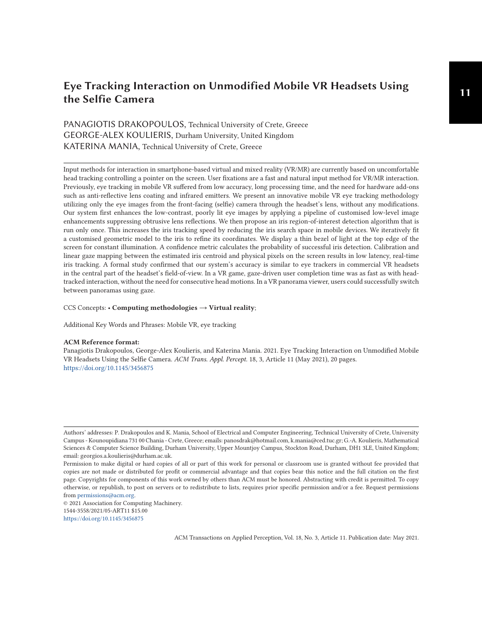# **<sup>11</sup> Eye Tracking Interaction on Unmodified Mobile VR Headsets Using the Selfie Camera**

# PANAGIOTIS DRAKOPOULOS, Technical University of Crete, Greece GEORGE-ALEX KOULIERIS, Durham University, United Kingdom KATERINA MANIA, Technical University of Crete, Greece

Input methods for interaction in smartphone-based virtual and mixed reality (VR/MR) are currently based on uncomfortable head tracking controlling a pointer on the screen. User fixations are a fast and natural input method for VR/MR interaction. Previously, eye tracking in mobile VR suffered from low accuracy, long processing time, and the need for hardware add-ons such as anti-reflective lens coating and infrared emitters. We present an innovative mobile VR eye tracking methodology utilizing only the eye images from the front-facing (selfie) camera through the headset's lens, without any modifications. Our system first enhances the low-contrast, poorly lit eye images by applying a pipeline of customised low-level image enhancements suppressing obtrusive lens reflections. We then propose an iris region-of-interest detection algorithm that is run only once. This increases the iris tracking speed by reducing the iris search space in mobile devices. We iteratively fit a customised geometric model to the iris to refine its coordinates. We display a thin bezel of light at the top edge of the screen for constant illumination. A confidence metric calculates the probability of successful iris detection. Calibration and linear gaze mapping between the estimated iris centroid and physical pixels on the screen results in low latency, real-time iris tracking. A formal study confirmed that our system's accuracy is similar to eye trackers in commercial VR headsets in the central part of the headset's field-of-view. In a VR game, gaze-driven user completion time was as fast as with headtracked interaction, without the need for consecutive head motions. In a VR panorama viewer, users could successfully switch between panoramas using gaze.

#### CCS Concepts: • **Computing methodologies** → **Virtual reality**;

Additional Key Words and Phrases: Mobile VR, eye tracking

#### **ACM Reference format:**

Panagiotis Drakopoulos, George-Alex Koulieris, and Katerina Mania. 2021. Eye Tracking Interaction on Unmodified Mobile VR Headsets Using the Selfie Camera. *ACM Trans. Appl. Percept.* 18, 3, Article 11 (May 2021), 20 pages. <https://doi.org/10.1145/3456875>

Authors' addresses: P. Drakopoulos and K. Mania, School of Electrical and Computer Engineering, Technical University of Crete, University Campus - Kounoupidiana 731 00 Chania - Crete, Greece; emails: panosdrak@hotmail.com, k.mania@ced.tuc.gr; G.-A. Koulieris, Mathematical Sciences & Computer Science Building, Durham University, Upper Mountjoy Campus, Stockton Road, Durham, DH1 3LE, United Kingdom; email: georgios.a.koulieris@durham.ac.uk.

Permission to make digital or hard copies of all or part of this work for personal or classroom use is granted without fee provided that copies are not made or distributed for profit or commercial advantage and that copies bear this notice and the full citation on the first page. Copyrights for components of this work owned by others than ACM must be honored. Abstracting with credit is permitted. To copy otherwise, or republish, to post on servers or to redistribute to lists, requires prior specific permission and/or a fee. Request permissions from [permissions@acm.org.](mailto:permissions@acm.org)

<sup>© 2021</sup> Association for Computing Machinery. 1544-3558/2021/05-ART11 \$15.00

<https://doi.org/10.1145/3456875>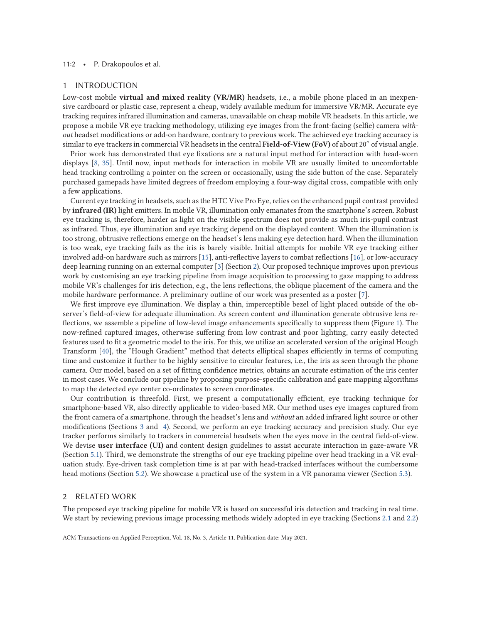#### 11:2 • P. Drakopoulos et al.

#### 1 INTRODUCTION

Low-cost mobile **virtual and mixed reality (VR/MR)** headsets, i.e., a mobile phone placed in an inexpensive cardboard or plastic case, represent a cheap, widely available medium for immersive VR/MR. Accurate eye tracking requires infrared illumination and cameras, unavailable on cheap mobile VR headsets. In this article, we propose a mobile VR eye tracking methodology, utilizing eye images from the front-facing (selfie) camera *without* headset modifications or add-on hardware, contrary to previous work. The achieved eye tracking accuracy is similar to eye trackers in commercial VR headsets in the central **Field-of-View (FoV)** of about 20◦ of visual angle.

Prior work has demonstrated that eye fixations are a natural input method for interaction with head-worn displays [\[8,](#page-17-0) [35\]](#page-18-0). Until now, input methods for interaction in mobile VR are usually limited to uncomfortable head tracking controlling a pointer on the screen or occasionally, using the side button of the case. Separately purchased gamepads have limited degrees of freedom employing a four-way digital cross, compatible with only a few applications.

Current eye tracking in headsets, such as the HTC Vive Pro Eye, relies on the enhanced pupil contrast provided by **infrared (IR)** light emitters. In mobile VR, illumination only emanates from the smartphone's screen. Robust eye tracking is, therefore, harder as light on the visible spectrum does not provide as much iris-pupil contrast as infrared. Thus, eye illumination and eye tracking depend on the displayed content. When the illumination is too strong, obtrusive reflections emerge on the headset's lens making eye detection hard. When the illumination is too weak, eye tracking fails as the iris is barely visible. Initial attempts for mobile VR eye tracking either involved add-on hardware such as mirrors [\[15\]](#page-18-0), anti-reflective layers to combat reflections [\[16\]](#page-18-0), or low-accuracy deep learning running on an external computer [\[3\]](#page-17-0) (Section 2). Our proposed technique improves upon previous work by customising an eye tracking pipeline from image acquisition to processing to gaze mapping to address mobile VR's challenges for iris detection, e.g., the lens reflections, the oblique placement of the camera and the mobile hardware performance. A preliminary outline of our work was presented as a poster [\[7\]](#page-17-0).

We first improve eye illumination. We display a thin, imperceptible bezel of light placed outside of the observer's field-of-view for adequate illumination. As screen content *and* illumination generate obtrusive lens reflections, we assemble a pipeline of low-level image enhancements specifically to suppress them (Figure [1\)](#page-2-0). The now-refined captured images, otherwise suffering from low contrast and poor lighting, carry easily detected features used to fit a geometric model to the iris. For this, we utilize an accelerated version of the original Hough Transform [\[40\]](#page-18-0), the "Hough Gradient" method that detects elliptical shapes efficiently in terms of computing time and customize it further to be highly sensitive to circular features, i.e., the iris as seen through the phone camera. Our model, based on a set of fitting confidence metrics, obtains an accurate estimation of the iris center in most cases. We conclude our pipeline by proposing purpose-specific calibration and gaze mapping algorithms to map the detected eye center co-ordinates to screen coordinates.

Our contribution is threefold. First, we present a computationally efficient, eye tracking technique for smartphone-based VR, also directly applicable to video-based MR. Our method uses eye images captured from the front camera of a smartphone, through the headset's lens and *without* an added infrared light source or other modifications (Sections [3](#page-4-0) and [4\)](#page-6-0). Second, we perform an eye tracking accuracy and precision study. Our eye tracker performs similarly to trackers in commercial headsets when the eyes move in the central field-of-view. We devise **user interface (UI)** and content design guidelines to assist accurate interaction in gaze-aware VR (Section [5.1\)](#page-11-0). Third, we demonstrate the strengths of our eye tracking pipeline over head tracking in a VR evaluation study. Eye-driven task completion time is at par with head-tracked interfaces without the cumbersome head motions (Section [5.2\)](#page-14-0). We showcase a practical use of the system in a VR panorama viewer (Section [5.3\)](#page-15-0).

#### 2 RELATED WORK

The proposed eye tracking pipeline for mobile VR is based on successful iris detection and tracking in real time. We start by reviewing previous image processing methods widely adopted in eye tracking (Sections [2.1](#page-2-0) and [2.2\)](#page-2-0)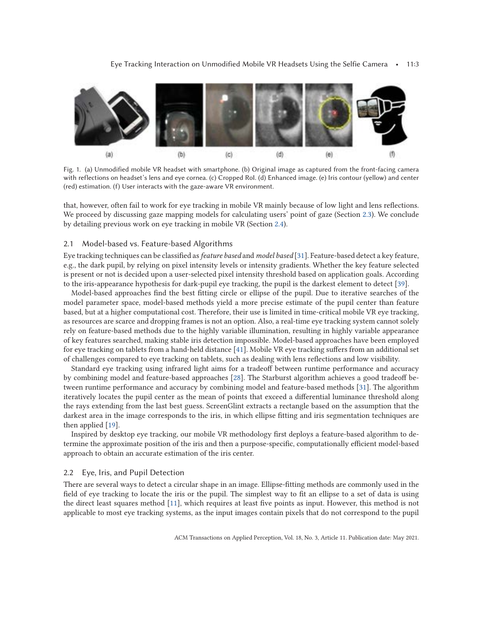<span id="page-2-0"></span>

Fig. 1. (a) Unmodified mobile VR headset with smartphone. (b) Original image as captured from the front-facing camera with reflections on headset's lens and eye cornea. (c) Cropped RoI. (d) Enhanced image. (e) Iris contour (yellow) and center (red) estimation. (f) User interacts with the gaze-aware VR environment.

that, however, often fail to work for eye tracking in mobile VR mainly because of low light and lens reflections. We proceed by discussing gaze mapping models for calculating users' point of gaze (Section [2.3\)](#page-3-0). We conclude by detailing previous work on eye tracking in mobile VR (Section [2.4\)](#page-3-0).

#### 2.1 Model-based vs. Feature-based Algorithms

Eye tracking techniques can be classified as*feature based* and *model based* [\[31\]](#page-18-0). Feature-based detect a key feature, e.g., the dark pupil, by relying on pixel intensity levels or intensity gradients. Whether the key feature selected is present or not is decided upon a user-selected pixel intensity threshold based on application goals. According to the iris-appearance hypothesis for dark-pupil eye tracking, the pupil is the darkest element to detect [\[39\]](#page-18-0).

Model-based approaches find the best fitting circle or ellipse of the pupil. Due to iterative searches of the model parameter space, model-based methods yield a more precise estimate of the pupil center than feature based, but at a higher computational cost. Therefore, their use is limited in time-critical mobile VR eye tracking, as resources are scarce and dropping frames is not an option. Also, a real-time eye tracking system cannot solely rely on feature-based methods due to the highly variable illumination, resulting in highly variable appearance of key features searched, making stable iris detection impossible. Model-based approaches have been employed for eye tracking on tablets from a hand-held distance [\[41\]](#page-19-0). Mobile VR eye tracking suffers from an additional set of challenges compared to eye tracking on tablets, such as dealing with lens reflections and low visibility.

Standard eye tracking using infrared light aims for a tradeoff between runtime performance and accuracy by combining model and feature-based approaches [\[28\]](#page-18-0). The Starburst algorithm achieves a good tradeoff between runtime performance and accuracy by combining model and feature-based methods [\[31\]](#page-18-0). The algorithm iteratively locates the pupil center as the mean of points that exceed a differential luminance threshold along the rays extending from the last best guess. ScreenGlint extracts a rectangle based on the assumption that the darkest area in the image corresponds to the iris, in which ellipse fitting and iris segmentation techniques are then applied [\[19\]](#page-18-0).

Inspired by desktop eye tracking, our mobile VR methodology first deploys a feature-based algorithm to determine the approximate position of the iris and then a purpose-specific, computationally efficient model-based approach to obtain an accurate estimation of the iris center.

#### 2.2 Eye, Iris, and Pupil Detection

There are several ways to detect a circular shape in an image. Ellipse-fitting methods are commonly used in the field of eye tracking to locate the iris or the pupil. The simplest way to fit an ellipse to a set of data is using the direct least squares method [\[11\]](#page-17-0), which requires at least five points as input. However, this method is not applicable to most eye tracking systems, as the input images contain pixels that do not correspond to the pupil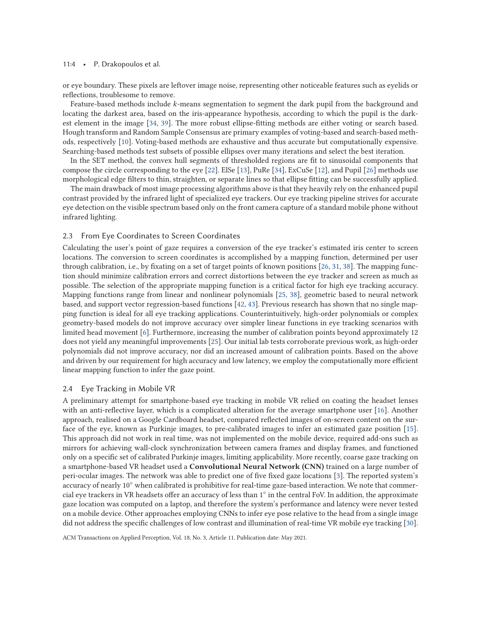#### <span id="page-3-0"></span>11:4 • P. Drakopoulos et al.

or eye boundary. These pixels are leftover image noise, representing other noticeable features such as eyelids or reflections, troublesome to remove.

Feature-based methods include *k*-means segmentation to segment the dark pupil from the background and locating the darkest area, based on the iris-appearance hypothesis, according to which the pupil is the darkest element in the image [\[34,](#page-18-0) [39\]](#page-18-0). The more robust ellipse-fitting methods are either voting or search based. Hough transform and Random Sample Consensus are primary examples of voting-based and search-based methods, respectively [\[10\]](#page-17-0). Voting-based methods are exhaustive and thus accurate but computationally expensive. Searching-based methods test subsets of possible ellipses over many iterations and select the best iteration.

In the SET method, the convex hull segments of thresholded regions are fit to sinusoidal components that compose the circle corresponding to the eye [\[22\]](#page-18-0). ElSe [\[13\]](#page-17-0), PuRe [\[34\]](#page-18-0), ExCuSe [\[12\]](#page-17-0), and Pupil [\[26\]](#page-18-0) methods use morphological edge filters to thin, straighten, or separate lines so that ellipse fitting can be successfully applied.

The main drawback of most image processing algorithms above is that they heavily rely on the enhanced pupil contrast provided by the infrared light of specialized eye trackers. Our eye tracking pipeline strives for accurate eye detection on the visible spectrum based only on the front camera capture of a standard mobile phone without infrared lighting.

#### 2.3 From Eye Coordinates to Screen Coordinates

Calculating the user's point of gaze requires a conversion of the eye tracker's estimated iris center to screen locations. The conversion to screen coordinates is accomplished by a mapping function, determined per user through calibration, i.e., by fixating on a set of target points of known positions [\[26,](#page-18-0) [31,](#page-18-0) [38\]](#page-18-0). The mapping function should minimize calibration errors and correct distortions between the eye tracker and screen as much as possible. The selection of the appropriate mapping function is a critical factor for high eye tracking accuracy. Mapping functions range from linear and nonlinear polynomials [\[25,](#page-18-0) [38\]](#page-18-0), geometric based to neural network based, and support vector regression-based functions [\[42,](#page-19-0) [43\]](#page-19-0). Previous research has shown that no single mapping function is ideal for all eye tracking applications. Counterintuitively, high-order polynomials or complex geometry-based models do not improve accuracy over simpler linear functions in eye tracking scenarios with limited head movement [\[6\]](#page-17-0). Furthermore, increasing the number of calibration points beyond approximately 12 does not yield any meaningful improvements [\[25\]](#page-18-0). Our initial lab tests corroborate previous work, as high-order polynomials did not improve accuracy, nor did an increased amount of calibration points. Based on the above and driven by our requirement for high accuracy and low latency, we employ the computationally more efficient linear mapping function to infer the gaze point.

#### 2.4 Eye Tracking in Mobile VR

A preliminary attempt for smartphone-based eye tracking in mobile VR relied on coating the headset lenses with an anti-reflective layer, which is a complicated alteration for the average smartphone user [\[16\]](#page-18-0). Another approach, realised on a Google Cardboard headset, compared reflected images of on-screen content on the surface of the eye, known as Purkinje images, to pre-calibrated images to infer an estimated gaze position [\[15\]](#page-18-0). This approach did not work in real time, was not implemented on the mobile device, required add-ons such as mirrors for achieving wall-clock synchronization between camera frames and display frames, and functioned only on a specific set of calibrated Purkinje images, limiting applicability. More recently, coarse gaze tracking on a smartphone-based VR headset used a **Convolutional Neural Network (CNN)** trained on a large number of peri-ocular images. The network was able to predict one of five fixed gaze locations [\[3\]](#page-17-0). The reported system's accuracy of nearly 10◦ when calibrated is prohibitive for real-time gaze-based interaction. We note that commercial eye trackers in VR headsets offer an accuracy of less than 1◦ in the central FoV. In addition, the approximate gaze location was computed on a laptop, and therefore the system's performance and latency were never tested on a mobile device. Other approaches employing CNNs to infer eye pose relative to the head from a single image did not address the specific challenges of low contrast and illumination of real-time VR mobile eye tracking [\[30\]](#page-18-0).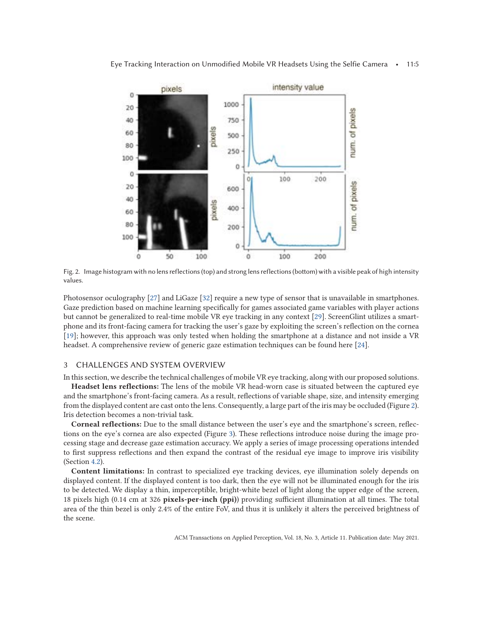<span id="page-4-0"></span>

Fig. 2. Image histogram with no lens reflections (top) and strong lens reflections (bottom) with a visible peak of high intensity values.

Photosensor oculography [\[27\]](#page-18-0) and LiGaze [\[32\]](#page-18-0) require a new type of sensor that is unavailable in smartphones. Gaze prediction based on machine learning specifically for games associated game variables with player actions but cannot be generalized to real-time mobile VR eye tracking in any context [\[29\]](#page-18-0). ScreenGlint utilizes a smartphone and its front-facing camera for tracking the user's gaze by exploiting the screen's reflection on the cornea [\[19\]](#page-18-0); however, this approach was only tested when holding the smartphone at a distance and not inside a VR headset. A comprehensive review of generic gaze estimation techniques can be found here [\[24\]](#page-18-0).

#### 3 CHALLENGES AND SYSTEM OVERVIEW

In this section, we describe the technical challenges of mobile VR eye tracking, along with our proposed solutions.

**Headset lens reflections:** The lens of the mobile VR head-worn case is situated between the captured eye and the smartphone's front-facing camera. As a result, reflections of variable shape, size, and intensity emerging from the displayed content are cast onto the lens. Consequently, a large part of the iris may be occluded (Figure 2). Iris detection becomes a non-trivial task.

**Corneal reflections:** Due to the small distance between the user's eye and the smartphone's screen, reflections on the eye's cornea are also expected (Figure [3\)](#page-5-0). These reflections introduce noise during the image processing stage and decrease gaze estimation accuracy. We apply a series of image processing operations intended to first suppress reflections and then expand the contrast of the residual eye image to improve iris visibility (Section [4.2\)](#page-8-0).

**Content limitations:** In contrast to specialized eye tracking devices, eye illumination solely depends on displayed content. If the displayed content is too dark, then the eye will not be illuminated enough for the iris to be detected. We display a thin, imperceptible, bright-white bezel of light along the upper edge of the screen, 18 pixels high (0.14 cm at 326 **pixels-per-inch (ppi)**) providing sufficient illumination at all times. The total area of the thin bezel is only 2.4% of the entire FoV, and thus it is unlikely it alters the perceived brightness of the scene.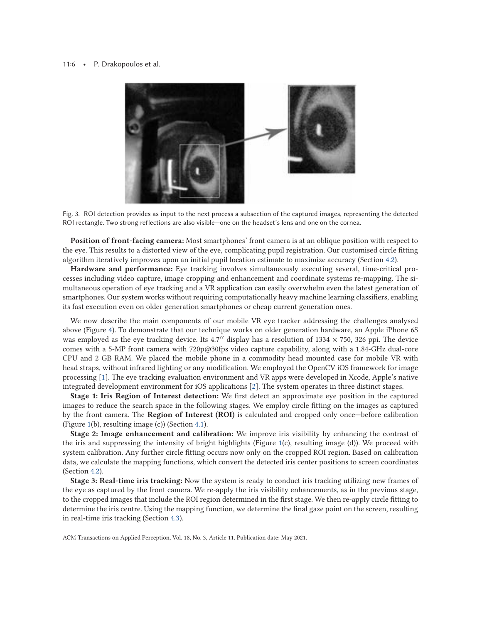#### <span id="page-5-0"></span>11:6 • P. Drakopoulos et al.



Fig. 3. ROI detection provides as input to the next process a subsection of the captured images, representing the detected ROI rectangle. Two strong reflections are also visible—one on the headset's lens and one on the cornea.

**Position of front-facing camera:** Most smartphones' front camera is at an oblique position with respect to the eye. This results to a distorted view of the eye, complicating pupil registration. Our customised circle fitting algorithm iteratively improves upon an initial pupil location estimate to maximize accuracy (Section [4.2\)](#page-8-0).

**Hardware and performance:** Eye tracking involves simultaneously executing several, time-critical processes including video capture, image cropping and enhancement and coordinate systems re-mapping. The simultaneous operation of eye tracking and a VR application can easily overwhelm even the latest generation of smartphones. Our system works without requiring computationally heavy machine learning classifiers, enabling its fast execution even on older generation smartphones or cheap current generation ones.

We now describe the main components of our mobile VR eye tracker addressing the challenges analysed above (Figure [4\)](#page-6-0). To demonstrate that our technique works on older generation hardware, an Apple iPhone 6S was employed as the eye tracking device. Its 4.7" display has a resolution of  $1334 \times 750$ , 326 ppi. The device comes with a 5-MP front camera with 720p@30fps video capture capability, along with a 1.84-GHz dual-core CPU and 2 GB RAM. We placed the mobile phone in a commodity head mounted case for mobile VR with head straps, without infrared lighting or any modification. We employed the OpenCV iOS framework for image processing [\[1\]](#page-17-0). The eye tracking evaluation environment and VR apps were developed in Xcode, Apple's native integrated development environment for iOS applications [\[2\]](#page-17-0). The system operates in three distinct stages.

**Stage 1: Iris Region of Interest detection:** We first detect an approximate eye position in the captured images to reduce the search space in the following stages. We employ circle fitting on the images as captured by the front camera. The **Region of Interest (ROI)** is calculated and cropped only once—before calibration (Figure [1\(](#page-2-0)b), resulting image (c)) (Section [4.1\)](#page-6-0).

**Stage 2: Image enhancement and calibration:** We improve iris visibility by enhancing the contrast of the iris and suppressing the intensity of bright highlights (Figure [1\(](#page-2-0)c), resulting image (d)). We proceed with system calibration. Any further circle fitting occurs now only on the cropped ROI region. Based on calibration data, we calculate the mapping functions, which convert the detected iris center positions to screen coordinates (Section [4.2\)](#page-8-0).

**Stage 3: Real-time iris tracking:** Now the system is ready to conduct iris tracking utilizing new frames of the eye as captured by the front camera. We re-apply the iris visibility enhancements, as in the previous stage, to the cropped images that include the ROI region determined in the first stage. We then re-apply circle fitting to determine the iris centre. Using the mapping function, we determine the final gaze point on the screen, resulting in real-time iris tracking (Section [4.3\)](#page-10-0).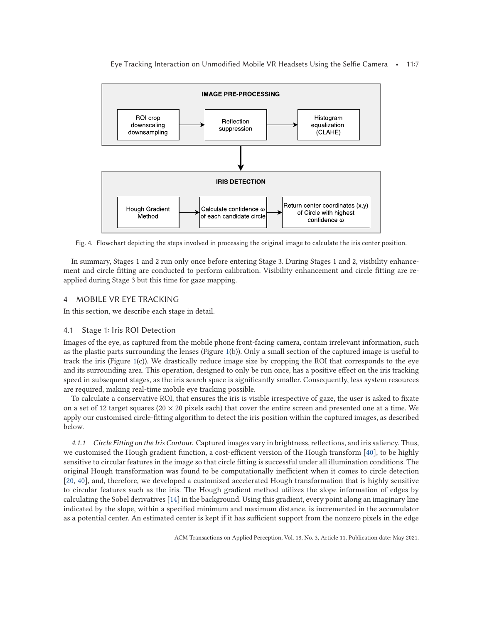Eye Tracking Interaction on Unmodified Mobile VR Headsets Using the Selfie Camera • 11:7

<span id="page-6-0"></span>

Fig. 4. Flowchart depicting the steps involved in processing the original image to calculate the iris center position.

In summary, Stages 1 and 2 run only once before entering Stage 3. During Stages 1 and 2, visibility enhancement and circle fitting are conducted to perform calibration. Visibility enhancement and circle fitting are reapplied during Stage 3 but this time for gaze mapping.

### 4 MOBILE VR EYE TRACKING

In this section, we describe each stage in detail.

#### 4.1 Stage 1: Iris ROI Detection

Images of the eye, as captured from the mobile phone front-facing camera, contain irrelevant information, such as the plastic parts surrounding the lenses (Figure [1\(](#page-2-0)b)). Only a small section of the captured image is useful to track the iris (Figure [1\(](#page-2-0)c)). We drastically reduce image size by cropping the ROI that corresponds to the eye and its surrounding area. This operation, designed to only be run once, has a positive effect on the iris tracking speed in subsequent stages, as the iris search space is significantly smaller. Consequently, less system resources are required, making real-time mobile eye tracking possible.

To calculate a conservative ROI, that ensures the iris is visible irrespective of gaze, the user is asked to fixate on a set of 12 target squares (20  $\times$  20 pixels each) that cover the entire screen and presented one at a time. We apply our customised circle-fitting algorithm to detect the iris position within the captured images, as described below.

*4.1.1 Circle Fitting on the Iris Contour.* Captured images vary in brightness, reflections, and iris saliency. Thus, we customised the Hough gradient function, a cost-efficient version of the Hough transform [\[40\]](#page-18-0), to be highly sensitive to circular features in the image so that circle fitting is successful under all illumination conditions. The original Hough transformation was found to be computationally inefficient when it comes to circle detection [\[20,](#page-18-0) [40\]](#page-18-0), and, therefore, we developed a customized accelerated Hough transformation that is highly sensitive to circular features such as the iris. The Hough gradient method utilizes the slope information of edges by calculating the Sobel derivatives [\[14\]](#page-18-0) in the background. Using this gradient, every point along an imaginary line indicated by the slope, within a specified minimum and maximum distance, is incremented in the accumulator as a potential center. An estimated center is kept if it has sufficient support from the nonzero pixels in the edge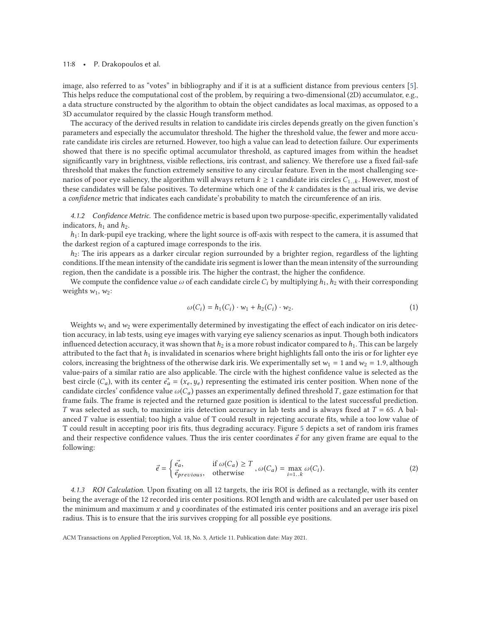#### <span id="page-7-0"></span>11:8 • P. Drakopoulos et al.

image, also referred to as "votes" in bibliography and if it is at a sufficient distance from previous centers [\[5\]](#page-17-0). This helps reduce the computational cost of the problem, by requiring a two-dimensional (2D) accumulator, e.g., a data structure constructed by the algorithm to obtain the object candidates as local maximas, as opposed to a 3D accumulator required by the classic Hough transform method.

The accuracy of the derived results in relation to candidate iris circles depends greatly on the given function's parameters and especially the accumulator threshold. The higher the threshold value, the fewer and more accurate candidate iris circles are returned. However, too high a value can lead to detection failure. Our experiments showed that there is no specific optimal accumulator threshold, as captured images from within the headset significantly vary in brightness, visible reflections, iris contrast, and saliency. We therefore use a fixed fail-safe threshold that makes the function extremely sensitive to any circular feature. Even in the most challenging scenarios of poor eye saliency, the algorithm will always return  $k \geq 1$  candidate iris circles  $C_{1,k}$ . However, most of these candidates will be false positives. To determine which one of the *k* candidates is the actual iris, we devise a *confidence* metric that indicates each candidate's probability to match the circumference of an iris.

*4.1.2 Confidence Metric.* The confidence metric is based upon two purpose-specific, experimentally validated indicators,  $h_1$  and  $h_2$ .

 $h_1$ : In dark-pupil eye tracking, where the light source is off-axis with respect to the camera, it is assumed that the darkest region of a captured image corresponds to the iris.

*h*2: The iris appears as a darker circular region surrounded by a brighter region, regardless of the lighting conditions. If the mean intensity of the candidate iris segment is lower than the mean intensity of the surrounding region, then the candidate is a possible iris. The higher the contrast, the higher the confidence.

We compute the confidence value  $\omega$  of each candidate circle  $C_i$  by multiplying  $h_1$ ,  $h_2$  with their corresponding weights  $w_1$ ,  $w_2$ :

$$
\omega(C_i) = h_1(C_i) \cdot w_1 + h_2(C_i) \cdot w_2. \tag{1}
$$

Weights  $w_1$  and  $w_2$  were experimentally determined by investigating the effect of each indicator on iris detection accuracy, in lab tests, using eye images with varying eye saliency scenarios as input. Though both indicators influenced detection accuracy, it was shown that  $h_2$  is a more robust indicator compared to  $h_1$ . This can be largely attributed to the fact that  $h_1$  is invalidated in scenarios where bright highlights fall onto the iris or for lighter eye colors, increasing the brightness of the otherwise dark iris. We experimentally set  $w_1 = 1$  and  $w_2 = 1.9$ , although value-pairs of a similar ratio are also applicable. The circle with the highest confidence value is selected as the best circle  $(C_a)$ , with its center  $\vec{e_a} = (x_e, y_e)$  representing the estimated iris center position. When none of the<br>candidate circles' confidence value  $\omega(C_a)$  passes an experimentally defined threshold T, gaze estimati candidate circles' confidence value  $\omega(C_a)$  passes an experimentally defined threshold *T*, gaze estimation for that frame fails. The frame is rejected and the returned gaze position is identical to the latest successful prediction. *T* was selected as such, to maximize iris detection accuracy in lab tests and is always fixed at *T* = 65. A balanced *T* value is essential; too high a value of T could result in rejecting accurate fits, while a too low value of T could result in accepting poor iris fits, thus degrading accuracy. Figure [5](#page-8-0) depicts a set of random iris frames and their respective confidence values. Thus the iris center coordinates  $\vec{e}$  for any given frame are equal to the following:

$$
\vec{e} = \begin{cases} \vec{e_a}, & \text{if } \omega(C_a) \ge T \\ \vec{e}_{previous}, & \text{otherwise} \end{cases}, \omega(C_a) = \max_{i=1..k} \omega(C_i). \tag{2}
$$

*4.1.3 ROI Calculation.* Upon fixating on all 12 targets, the iris ROI is defined as a rectangle, with its center being the average of the 12 recorded iris center positions. ROI length and width are calculated per user based on the minimum and maximum *x* and *y* coordinates of the estimated iris center positions and an average iris pixel radius. This is to ensure that the iris survives cropping for all possible eye positions.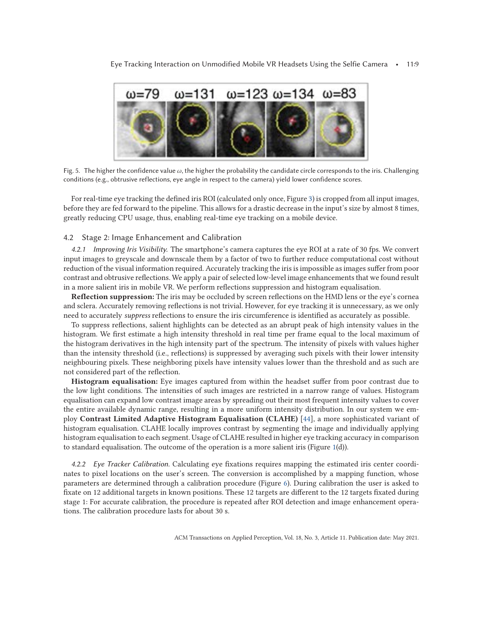<span id="page-8-0"></span>

Fig. 5. The higher the confidence value *ω*, the higher the probability the candidate circle corresponds to the iris. Challenging conditions (e.g., obtrusive reflections, eye angle in respect to the camera) yield lower confidence scores.

For real-time eye tracking the defined iris ROI (calculated only once, Figure [3\)](#page-5-0) is cropped from all input images, before they are fed forward to the pipeline. This allows for a drastic decrease in the input's size by almost 8 times, greatly reducing CPU usage, thus, enabling real-time eye tracking on a mobile device.

#### 4.2 Stage 2: Image Enhancement and Calibration

*4.2.1 Improving Iris Visibility.* The smartphone's camera captures the eye ROI at a rate of 30 fps. We convert input images to greyscale and downscale them by a factor of two to further reduce computational cost without reduction of the visual information required. Accurately tracking the iris is impossible as images suffer from poor contrast and obtrusive reflections. We apply a pair of selected low-level image enhancements that we found result in a more salient iris in mobile VR. We perform reflections suppression and histogram equalisation.

**Reflection suppression:** The iris may be occluded by screen reflections on the HMD lens or the eye's cornea and sclera. Accurately removing reflections is not trivial. However, for eye tracking it is unnecessary, as we only need to accurately *suppress* reflections to ensure the iris circumference is identified as accurately as possible.

To suppress reflections, salient highlights can be detected as an abrupt peak of high intensity values in the histogram. We first estimate a high intensity threshold in real time per frame equal to the local maximum of the histogram derivatives in the high intensity part of the spectrum. The intensity of pixels with values higher than the intensity threshold (i.e., reflections) is suppressed by averaging such pixels with their lower intensity neighbouring pixels. These neighboring pixels have intensity values lower than the threshold and as such are not considered part of the reflection.

**Histogram equalisation:** Eye images captured from within the headset suffer from poor contrast due to the low light conditions. The intensities of such images are restricted in a narrow range of values. Histogram equalisation can expand low contrast image areas by spreading out their most frequent intensity values to cover the entire available dynamic range, resulting in a more uniform intensity distribution. In our system we employ **Contrast Limited Adaptive Histogram Equalisation (CLAHE)** [\[44\]](#page-19-0), a more sophisticated variant of histogram equalisation. CLAHE locally improves contrast by segmenting the image and individually applying histogram equalisation to each segment. Usage of CLAHE resulted in higher eye tracking accuracy in comparison to standard equalisation. The outcome of the operation is a more salient iris (Figure [1\(](#page-2-0)d)).

*4.2.2 Eye Tracker Calibration.* Calculating eye fixations requires mapping the estimated iris center coordinates to pixel locations on the user's screen. The conversion is accomplished by a mapping function, whose parameters are determined through a calibration procedure (Figure [6\)](#page-9-0). During calibration the user is asked to fixate on 12 additional targets in known positions. These 12 targets are different to the 12 targets fixated during stage 1: For accurate calibration, the procedure is repeated after ROI detection and image enhancement operations. The calibration procedure lasts for about 30 s.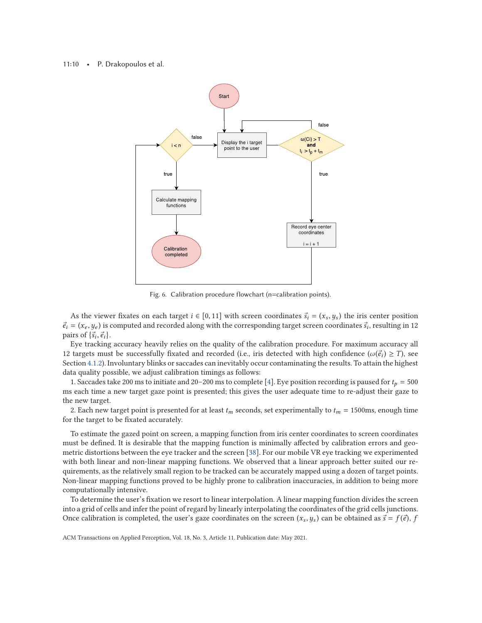#### <span id="page-9-0"></span>11:10 • P. Drakopoulos et al.



Fig. 6. Calibration procedure flowchart (n=calibration points).

As the viewer fixates on each target  $i \in [0, 11]$  with screen coordinates  $\vec{s}_i = (x_s, y_s)$  the iris center position  $-(x, y_s)$  is computed and recorded along with the corresponding target screen coordinates  $\vec{s}_i$  resulting  $\vec{e}_i = (x_e, y_e)$  is computed and recorded along with the corresponding target screen coordinates  $\vec{s}_i$ , resulting in 12<br>pairs of  $\{\vec{s}, \vec{a}\}$ . pairs of  $\{\vec{s}_i, \vec{e}_i\}$ .<br>Eve tracking

Eye tracking accuracy heavily relies on the quality of the calibration procedure. For maximum accuracy all 12 targets must be successfully fixated and recorded (i.e., iris detected with high confidence ( $\omega(\vec{e}_i) \geq T$ ), see Section [4.1.2\)](#page-7-0). Involuntary blinks or saccades can inevitably occur contaminating the results. To attain the highest data quality possible, we adjust calibration timings as follows:

1. Saccades take 200 ms to initiate and 20–200 ms to complete [\[4\]](#page-17-0). Eye position recording is paused for  $t_p = 500$ ms each time a new target gaze point is presented; this gives the user adequate time to re-adjust their gaze to the new target.

2. Each new target point is presented for at least  $t_m$  seconds, set experimentally to  $t_m = 1500$ ms, enough time for the target to be fixated accurately.

To estimate the gazed point on screen, a mapping function from iris center coordinates to screen coordinates must be defined. It is desirable that the mapping function is minimally affected by calibration errors and geometric distortions between the eye tracker and the screen [\[38\]](#page-18-0). For our mobile VR eye tracking we experimented with both linear and non-linear mapping functions. We observed that a linear approach better suited our requirements, as the relatively small region to be tracked can be accurately mapped using a dozen of target points. Non-linear mapping functions proved to be highly prone to calibration inaccuracies, in addition to being more computationally intensive.

To determine the user's fixation we resort to linear interpolation. A linear mapping function divides the screen into a grid of cells and infer the point of regard by linearly interpolating the coordinates of the grid cells junctions. Once calibration is completed, the user's gaze coordinates on the screen  $(x_s, y_s)$  can be obtained as  $\vec{s} = f(\vec{e}), f(\vec{e})$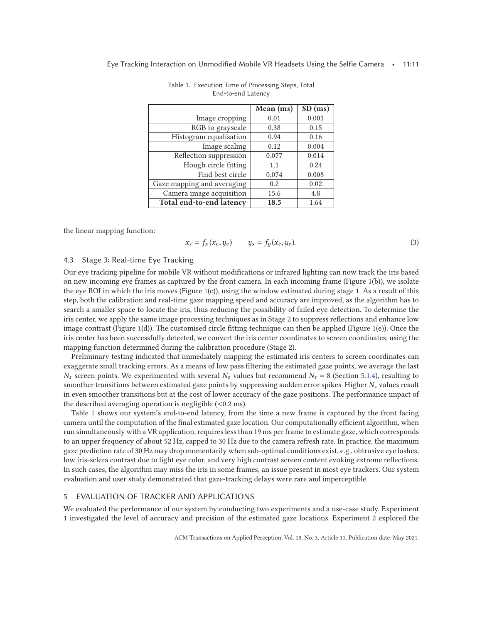<span id="page-10-0"></span>

|                            | Mean (ms) | $SD$ (ms) |
|----------------------------|-----------|-----------|
| Image cropping             | 0.01      | 0.001     |
| RGB to grayscale           | 0.38      | 0.15      |
| Histogram equalisation     | 0.94      | 0.16      |
| Image scaling              | 0.12      | 0.004     |
| Reflection suppression     | 0.077     | 0.014     |
| Hough circle fitting       | 1.1       | 0.24      |
| Find best circle           | 0.074     | 0.008     |
| Gaze mapping and averaging | 0.2       | 0.02      |
| Camera image acquisition   | 15.6      | 4.8       |
| Total end-to-end latency   | 18.5      | 1.64      |

Table 1. Execution Time of Processing Steps, Total End-to-end Latency

the linear mapping function:

$$
x_s = f_x(x_e, y_e) \qquad y_s = f_y(x_e, y_e). \tag{3}
$$

# 4.3 Stage 3: Real-time Eye Tracking

Our eye tracking pipeline for mobile VR without modifications or infrared lighting can now track the iris based on new incoming eye frames as captured by the front camera. In each incoming frame (Figure [1\(](#page-2-0)b)), we isolate the eye ROI in which the iris moves (Figure [1\(](#page-2-0)c)), using the window estimated during stage 1. As a result of this step, both the calibration and real-time gaze mapping speed and accuracy are improved, as the algorithm has to search a smaller space to locate the iris, thus reducing the possibility of failed eye detection. To determine the iris center, we apply the same image processing techniques as in Stage 2 to suppress reflections and enhance low image contrast (Figure [1\(](#page-2-0)d)). The customised circle fitting technique can then be applied (Figure [1\(](#page-2-0)e)). Once the iris center has been successfully detected, we convert the iris center coordinates to screen coordinates, using the mapping function determined during the calibration procedure (Stage 2).

Preliminary testing indicated that immediately mapping the estimated iris centers to screen coordinates can exaggerate small tracking errors. As a means of low pass filtering the estimated gaze points, we average the last  $N_s$  screen points. We experimented with several  $N_s$  values but recommend  $N_s = 8$  (Section [5.1.4\)](#page-11-0), resulting to smoother transitions between estimated gaze points by suppressing sudden error spikes. Higher *N<sup>s</sup>* values result in even smoother transitions but at the cost of lower accuracy of the gaze positions. The performance impact of the described averaging operation is negligible  $(< 0.2 \text{ ms})$ .

Table 1 shows our system's end-to-end latency, from the time a new frame is captured by the front facing camera until the computation of the final estimated gaze location. Our computationally efficient algorithm, when run simultaneously with a VR application, requires less than 19 ms per frame to estimate gaze, which corresponds to an upper frequency of about 52 Hz, capped to 30 Hz due to the camera refresh rate. In practice, the maximum gaze prediction rate of 30 Hz may drop momentarily when sub-optimal conditions exist, e.g., obtrusive eye lashes, low iris-sclera contrast due to light eye color, and very high contrast screen content evoking extreme reflections. In such cases, the algorithm may miss the iris in some frames, an issue present in most eye trackers. Our system evaluation and user study demonstrated that gaze-tracking delays were rare and imperceptible.

# 5 EVALUATION OF TRACKER AND APPLICATIONS

We evaluated the performance of our system by conducting two experiments and a use-case study. Experiment 1 investigated the level of accuracy and precision of the estimated gaze locations. Experiment 2 explored the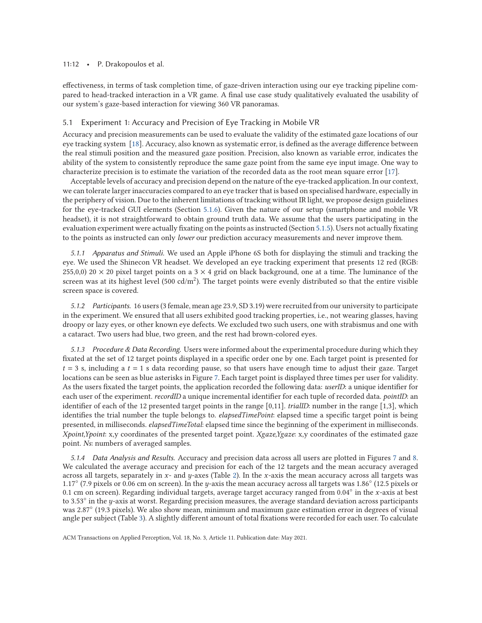#### <span id="page-11-0"></span>11:12 • P. Drakopoulos et al.

effectiveness, in terms of task completion time, of gaze-driven interaction using our eye tracking pipeline compared to head-tracked interaction in a VR game. A final use case study qualitatively evaluated the usability of our system's gaze-based interaction for viewing 360 VR panoramas.

#### 5.1 Experiment 1: Accuracy and Precision of Eye Tracking in Mobile VR

Accuracy and precision measurements can be used to evaluate the validity of the estimated gaze locations of our eye tracking system [\[18\]](#page-18-0). Accuracy, also known as systematic error, is defined as the average difference between the real stimuli position and the measured gaze position. Precision, also known as variable error, indicates the ability of the system to consistently reproduce the same gaze point from the same eye input image. One way to characterize precision is to estimate the variation of the recorded data as the root mean square error [\[17\]](#page-18-0).

Acceptable levels of accuracy and precision depend on the nature of the eye-tracked application. In our context, we can tolerate larger inaccuracies compared to an eye tracker that is based on specialised hardware, especially in the periphery of vision. Due to the inherent limitations of tracking without IR light, we propose design guidelines for the eye-tracked GUI elements (Section [5.1.6\)](#page-14-0). Given the nature of our setup (smartphone and mobile VR headset), it is not straightforward to obtain ground truth data. We assume that the users participating in the evaluation experiment were actually fixating on the points as instructed (Section [5.1.5\)](#page-13-0). Users not actually fixating to the points as instructed can only *lower* our prediction accuracy measurements and never improve them.

*5.1.1 Apparatus and Stimuli.* We used an Apple iPhone 6S both for displaying the stimuli and tracking the eye. We used the Shinecon VR headset. We developed an eye tracking experiment that presents 12 red (RGB: 255,0,0) 20  $\times$  20 pixel target points on a 3  $\times$  4 grid on black background, one at a time. The luminance of the screen was at its highest level (500 cd/m<sup>2</sup>). The target points were evenly distributed so that the entire visible screen space is covered.

*5.1.2 Participants.* 16 users (3 female, mean age 23.9, SD 3.19) were recruited from our university to participate in the experiment. We ensured that all users exhibited good tracking properties, i.e., not wearing glasses, having droopy or lazy eyes, or other known eye defects. We excluded two such users, one with strabismus and one with a cataract. Two users had blue, two green, and the rest had brown-colored eyes.

*5.1.3 Procedure & Data Recording.* Users were informed about the experimental procedure during which they fixated at the set of 12 target points displayed in a specific order one by one. Each target point is presented for  $t = 3$  s, including a  $t = 1$  s data recording pause, so that users have enough time to adjust their gaze. Target locations can be seen as blue asterisks in Figure [7.](#page-12-0) Each target point is displayed three times per user for validity. As the users fixated the target points, the application recorded the following data: *userID*: a unique identifier for each user of the experiment. *recordID* a unique incremental identifier for each tuple of recorded data. *pointID*: an identifier of each of the 12 presented target points in the range [0,11]. *trialID*: number in the range [1,3], which identifies the trial number the tuple belongs to. *elapsedTimePoint*: elapsed time a specific target point is being presented, in milliseconds. *elapsedTimeTotal*: elapsed time since the beginning of the experiment in milliseconds. *Xpoint,Ypoint*: x,y coordinates of the presented target point. *Xgaze,Ygaze*: x,y coordinates of the estimated gaze point. *Ns*: numbers of averaged samples.

*5.1.4 Data Analysis and Results.* Accuracy and precision data across all users are plotted in Figures [7](#page-12-0) and [8.](#page-12-0) We calculated the average accuracy and precision for each of the 12 targets and the mean accuracy averaged across all targets, separately in *x*- and *y*-axes (Table [2\)](#page-12-0). In the *x*-axis the mean accuracy across all targets was 1.17◦ (7.9 pixels or 0.06 cm on screen). In the *y*-axis the mean accuracy across all targets was 1.86◦ (12.5 pixels or 0.1 cm on screen). Regarding individual targets, average target accuracy ranged from 0.04◦ in the *x*-axis at best to 3.53◦ in the *y*-axis at worst. Regarding precision measures, the average standard deviation across participants was 2.87° (19.3 pixels). We also show mean, minimum and maximum gaze estimation error in degrees of visual angle per subject (Table [3\)](#page-13-0). A slightly different amount of total fixations were recorded for each user. To calculate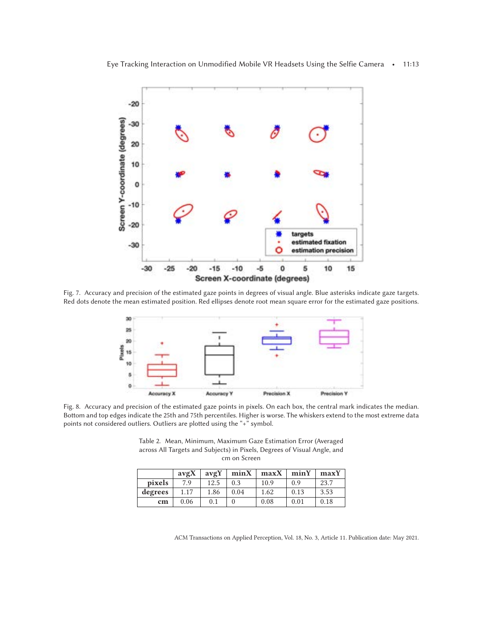<span id="page-12-0"></span>

Fig. 7. Accuracy and precision of the estimated gaze points in degrees of visual angle. Blue asterisks indicate gaze targets. Red dots denote the mean estimated position. Red ellipses denote root mean square error for the estimated gaze positions.



Fig. 8. Accuracy and precision of the estimated gaze points in pixels. On each box, the central mark indicates the median. Bottom and top edges indicate the 25th and 75th percentiles. Higher is worse. The whiskers extend to the most extreme data points not considered outliers. Outliers are plotted using the "+" symbol.

Table 2. Mean, Minimum, Maximum Gaze Estimation Error (Averaged across All Targets and Subjects) in Pixels, Degrees of Visual Angle, and cm on Screen

|         | avgX | avgY | minX | maxX | minY | maxY |
|---------|------|------|------|------|------|------|
| pixels  | 7.9  | 12.5 | 0.3  | 10.9 | 0.9  | 23.7 |
| degrees | 1.17 | 1.86 | 0.04 | 1.62 | 0.13 | 3.53 |
| cm      | 0.06 | 0.1  |      | 0.08 | 0.01 | 0.18 |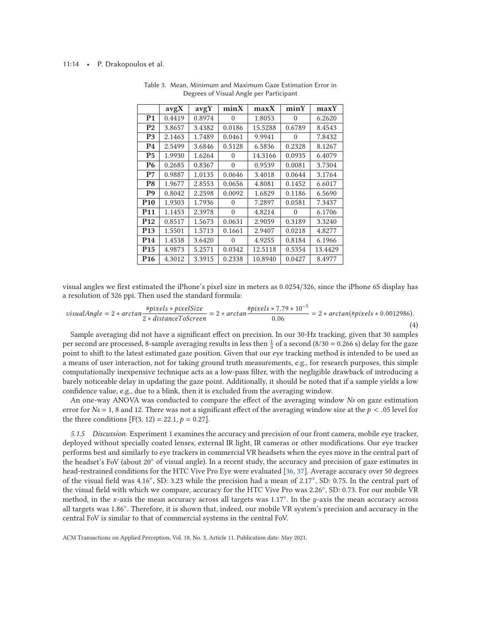#### <span id="page-13-0"></span>11:14 • P. Drakopoulos et al.

|                 | avgX   | avgY   | minX     | maxX    | minY     | maxY    |
|-----------------|--------|--------|----------|---------|----------|---------|
| P <sub>1</sub>  | 0.4419 | 0.8974 | $\Omega$ | 1.8053  | $\theta$ | 6.2620  |
| P <sub>2</sub>  | 3.8657 | 3.4382 | 0.0186   | 15.5288 | 0.6789   | 8.4543  |
| P <sub>3</sub>  | 2.1463 | 1.7489 | 0.0461   | 9.9941  | 0        | 7.8432  |
| P4              | 2.5499 | 3.6846 | 0.5128   | 6.5836  | 0.2328   | 8.1267  |
| P5              | 1.9930 | 1.6264 | $\Omega$ | 14.3166 | 0.0935   | 6.4079  |
| <b>P6</b>       | 0.2685 | 0.8367 | $\Omega$ | 0.9539  | 0.0081   | 3.7304  |
| P7              | 0.9887 | 1.0135 | 0.0646   | 3.4018  | 0.0644   | 3.1764  |
| P8              | 1.9677 | 2.8553 | 0.0656   | 4.8081  | 0.1452   | 6.6017  |
| P9              | 0.8042 | 2.2598 | 0.0092   | 1.6829  | 0.1186   | 6.5690  |
| <b>P10</b>      | 1.9303 | 1.7936 | 0        | 7.2897  | 0.0581   | 7.3437  |
| <b>P11</b>      | 1.1453 | 2.3978 | $\Omega$ | 4.8214  | $\Omega$ | 6.1706  |
| <b>P12</b>      | 0.8517 | 1.5673 | 0.0631   | 2.9059  | 0.3189   | 3.3240  |
| P <sub>13</sub> | 1.5501 | 1.5713 | 0.1661   | 2.9407  | 0.0218   | 4.8277  |
| P <sub>14</sub> | 1.4538 | 3.6420 | 0        | 4.9255  | 0.8184   | 6.1966  |
| P <sub>15</sub> | 4.9873 | 5.2571 | 0.0342   | 12.5118 | 0.5354   | 13.4429 |
| P <sub>16</sub> | 4.3012 | 3.3915 | 0.2338   | 10.8940 | 0.0427   | 8.4977  |

Table 3. Mean, Minimum and Maximum Gaze Estimation Error in Degrees of Visual Angle per Participant

visual angles we first estimated the iPhone's pixel size in meters as 0.0254/326, since the iPhone 6S display has a resolution of 326 ppi. Then used the standard formula:

$$
visualAngle = 2 * arctan \frac{\#pixels * pixelsize}{2 * distanceToScreen} = 2 * arctan \frac{\#pixels * 7.79 * 10^{-5}}{0.06} = 2 * arctan(\#pixels * 0.0012986).
$$
\n(4)

Sample averaging did not have a significant effect on precision. In our 30-Hz tracking, given that 30 samples per second are processed, 8-sample averaging results in less then  $\frac{1}{3}$  of a second (8/30 = 0.266 s) delay for the gaze point to shift to the latest estimated gaze position. Given that our eye tracking method is intended to be used as a means of user interaction, not for taking ground truth measurements, e.g., for research purposes, this simple computationally inexpensive technique acts as a low-pass filter, with the negligible drawback of introducing a barely noticeable delay in updating the gaze point. Additionally, it should be noted that if a sample yields a low confidence value, e.g., due to a blink, then it is excluded from the averaging window.

An one-way ANOVA was conducted to compare the effect of the averaging window *Ns* on gaze estimation error for  $Ns = 1$ , 8 and 12. There was not a significant effect of the averaging window size at the  $p < .05$  level for the three conditions  $[F(3, 12) = 22.1, p = 0.27]$ .

*5.1.5 Discussion.* Experiment 1 examines the accuracy and precision of our front camera, mobile eye tracker, deployed without specially coated lenses, external IR light, IR cameras or other modifications. Our eye tracker performs best and similarly to eye trackers in commercial VR headsets when the eyes move in the central part of the headset's FoV (about 20◦ of visual angle). In a recent study, the accuracy and precision of gaze estimates in head-restrained conditions for the HTC Vive Pro Eye were evaluated [\[36,](#page-18-0) [37\]](#page-18-0). Average accuracy over 50 degrees of the visual field was 4.16◦, SD: 3.23 while the precision had a mean of 2.17◦, SD: 0.75. In the central part of the visual field with which we compare, accuracy for the HTC Vive Pro was 2.26◦, SD: 0.73. For our mobile VR method, in the *x*-axis the mean accuracy across all targets was 1.17◦. In the *y*-axis the mean accuracy across all targets was 1.86◦. Therefore, it is shown that, indeed, our mobile VR system's precision and accuracy in the central FoV is similar to that of commercial systems in the central FoV.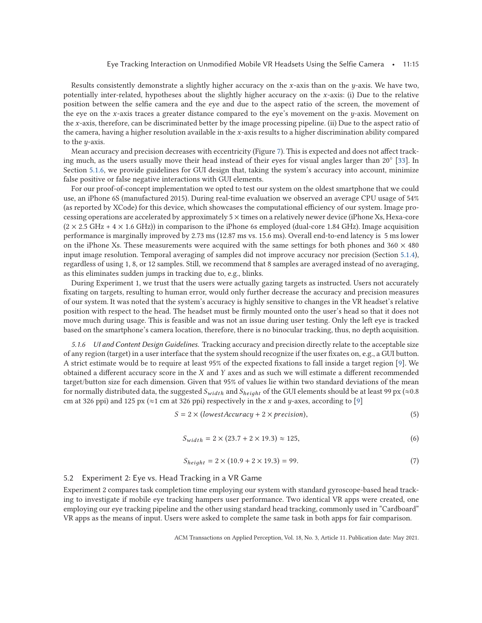<span id="page-14-0"></span>Results consistently demonstrate a slightly higher accuracy on the *x*-axis than on the *y*-axis. We have two, potentially inter-related, hypotheses about the slightly higher accuracy on the *x*-axis: (i) Due to the relative position between the selfie camera and the eye and due to the aspect ratio of the screen, the movement of the eye on the *x*-axis traces a greater distance compared to the eye's movement on the *y*-axis. Movement on the *x*-axis, therefore, can be discriminated better by the image processing pipeline. (ii) Due to the aspect ratio of the camera, having a higher resolution available in the *x*-axis results to a higher discrimination ability compared to the *y*-axis.

Mean accuracy and precision decreases with eccentricity (Figure [7\)](#page-12-0). This is expected and does not affect tracking much, as the users usually move their head instead of their eyes for visual angles larger than 20◦ [\[33\]](#page-18-0). In Section 5.1.6, we provide guidelines for GUI design that, taking the system's accuracy into account, minimize false positive or false negative interactions with GUI elements.

For our proof-of-concept implementation we opted to test our system on the oldest smartphone that we could use, an iPhone 6S (manufactured 2015). During real-time evaluation we observed an average CPU usage of 54% (as reported by XCode) for this device, which showcases the computational efficiency of our system. Image processing operations are accelerated by approximately 5 × times on a relatively newer device (iPhone Xs, Hexa-core  $(2 \times 2.5 \text{ GHz} + 4 \times 1.6 \text{ GHz})$ ) in comparison to the iPhone 6s employed (dual-core 1.84 GHz). Image acquisition performance is marginally improved by 2.73 ms (12.87 ms vs. 15.6 ms). Overall end-to-end latency is 5 ms lower on the iPhone Xs. These measurements were acquired with the same settings for both phones and  $360 \times 480$ input image resolution. Temporal averaging of samples did not improve accuracy nor precision (Section [5.1.4\)](#page-11-0), regardless of using 1, 8, or 12 samples. Still, we recommend that 8 samples are averaged instead of no averaging, as this eliminates sudden jumps in tracking due to, e.g., blinks.

During Experiment 1, we trust that the users were actually gazing targets as instructed. Users not accurately fixating on targets, resulting to human error, would only further decrease the accuracy and precision measures of our system. It was noted that the system's accuracy is highly sensitive to changes in the VR headset's relative position with respect to the head. The headset must be firmly mounted onto the user's head so that it does not move much during usage. This is feasible and was not an issue during user testing. Only the left eye is tracked based on the smartphone's camera location, therefore, there is no binocular tracking, thus, no depth acquisition.

*5.1.6 UI and Content Design Guidelines.* Tracking accuracy and precision directly relate to the acceptable size of any region (target) in a user interface that the system should recognize if the user fixates on, e.g., a GUI button. A strict estimate would be to require at least 95% of the expected fixations to fall inside a target region [\[9\]](#page-17-0). We obtained a different accuracy score in the *X* and *Y* axes and as such we will estimate a different recommended target/button size for each dimension. Given that 95% of values lie within two standard deviations of the mean for normally distributed data, the suggested  $S_{width}$  and  $S_{height}$  of the GUI elements should be at least 99 px ( $\approx 0.8$ ) cm at 326 ppi) and 125 px ( $\approx$ 1 cm at 326 ppi) respectively in the *x* and *y*-axes, according to [\[9\]](#page-17-0)

$$
S = 2 \times (lowestAccuracy + 2 \times precision),
$$
 (5)

$$
S_{width} = 2 \times (23.7 + 2 \times 19.3) \approx 125,
$$
\n(6)

$$
S_{height} = 2 \times (10.9 + 2 \times 19.3) = 99. \tag{7}
$$

#### 5.2 Experiment 2: Eye vs. Head Tracking in a VR Game

Experiment 2 compares task completion time employing our system with standard gyroscope-based head tracking to investigate if mobile eye tracking hampers user performance. Two identical VR apps were created, one employing our eye tracking pipeline and the other using standard head tracking, commonly used in "Cardboard" VR apps as the means of input. Users were asked to complete the same task in both apps for fair comparison.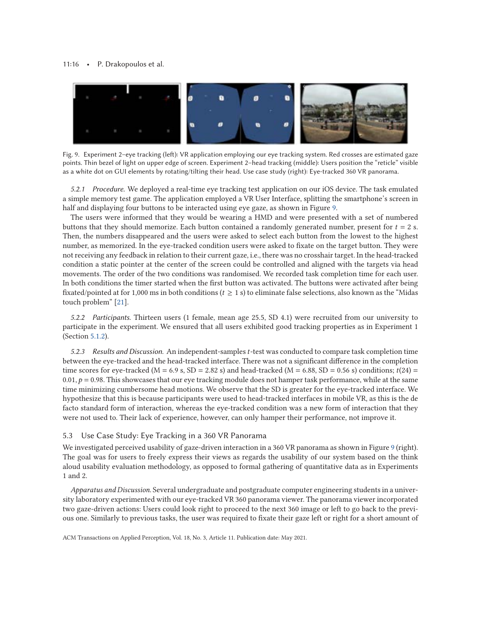#### <span id="page-15-0"></span>11:16 • P. Drakopoulos et al.



Fig. 9. Experiment 2–eye tracking (left): VR application employing our eye tracking system. Red crosses are estimated gaze points. Thin bezel of light on upper edge of screen. Experiment 2–head tracking (middle): Users position the "reticle" visible as a white dot on GUI elements by rotating/tilting their head. Use case study (right): Eye-tracked 360 VR panorama.

*5.2.1 Procedure.* We deployed a real-time eye tracking test application on our iOS device. The task emulated a simple memory test game. The application employed a VR User Interface, splitting the smartphone's screen in half and displaying four buttons to be interacted using eye gaze, as shown in Figure 9.

The users were informed that they would be wearing a HMD and were presented with a set of numbered buttons that they should memorize. Each button contained a randomly generated number, present for *t* = 2 s. Then, the numbers disappeared and the users were asked to select each button from the lowest to the highest number, as memorized. In the eye-tracked condition users were asked to fixate on the target button. They were not receiving any feedback in relation to their current gaze, i.e., there was no crosshair target. In the head-tracked condition a static pointer at the center of the screen could be controlled and aligned with the targets via head movements. The order of the two conditions was randomised. We recorded task completion time for each user. In both conditions the timer started when the first button was activated. The buttons were activated after being fixated/pointed at for 1,000 ms in both conditions (*t* ≥ 1 s) to eliminate false selections, also known as the "Midas touch problem" [\[21\]](#page-18-0).

*5.2.2 Participants.* Thirteen users (1 female, mean age 25.5, SD 4.1) were recruited from our university to participate in the experiment. We ensured that all users exhibited good tracking properties as in Experiment 1 (Section [5.1.2\)](#page-11-0).

*5.2.3 Results and Discussion.* An independent-samples*t*-test was conducted to compare task completion time between the eye-tracked and the head-tracked interface. There was not a significant difference in the completion time scores for eye-tracked ( $M = 6.9$  s,  $SD = 2.82$  s) and head-tracked ( $M = 6.88$ ,  $SD = 0.56$  s) conditions;  $t(24) =$  $0.01, p = 0.98$ . This showcases that our eye tracking module does not hamper task performance, while at the same time minimizing cumbersome head motions. We observe that the SD is greater for the eye-tracked interface. We hypothesize that this is because participants were used to head-tracked interfaces in mobile VR, as this is the de facto standard form of interaction, whereas the eye-tracked condition was a new form of interaction that they were not used to. Their lack of experience, however, can only hamper their performance, not improve it.

#### 5.3 Use Case Study: Eye Tracking in a 360 VR Panorama

We investigated perceived usability of gaze-driven interaction in a 360 VR panorama as shown in Figure 9 (right). The goal was for users to freely express their views as regards the usability of our system based on the think aloud usability evaluation methodology, as opposed to formal gathering of quantitative data as in Experiments 1 and 2.

*Apparatus and Discussion*. Several undergraduate and postgraduate computer engineering students in a university laboratory experimented with our eye-tracked VR 360 panorama viewer. The panorama viewer incorporated two gaze-driven actions: Users could look right to proceed to the next 360 image or left to go back to the previous one. Similarly to previous tasks, the user was required to fixate their gaze left or right for a short amount of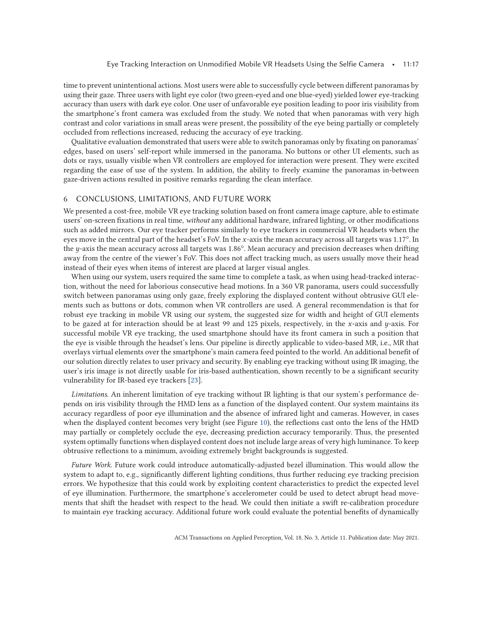time to prevent unintentional actions. Most users were able to successfully cycle between different panoramas by using their gaze. Three users with light eye color (two green-eyed and one blue-eyed) yielded lower eye-tracking accuracy than users with dark eye color. One user of unfavorable eye position leading to poor iris visibility from the smartphone's front camera was excluded from the study. We noted that when panoramas with very high contrast and color variations in small areas were present, the possibility of the eye being partially or completely occluded from reflections increased, reducing the accuracy of eye tracking.

Qualitative evaluation demonstrated that users were able to switch panoramas only by fixating on panoramas' edges, based on users' self-report while immersed in the panorama. No buttons or other UI elements, such as dots or rays, usually visible when VR controllers are employed for interaction were present. They were excited regarding the ease of use of the system. In addition, the ability to freely examine the panoramas in-between gaze-driven actions resulted in positive remarks regarding the clean interface.

# 6 CONCLUSIONS, LIMITATIONS, AND FUTURE WORK

We presented a cost-free, mobile VR eye tracking solution based on front camera image capture, able to estimate users' on-screen fixations in real time, *without* any additional hardware, infrared lighting, or other modifications such as added mirrors. Our eye tracker performs similarly to eye trackers in commercial VR headsets when the eyes move in the central part of the headset's FoV. In the *x*-axis the mean accuracy across all targets was 1.17°. In the *y*-axis the mean accuracy across all targets was 1.86°. Mean accuracy and precision decreases when drifting away from the centre of the viewer's FoV. This does not affect tracking much, as users usually move their head instead of their eyes when items of interest are placed at larger visual angles.

When using our system, users required the same time to complete a task, as when using head-tracked interaction, without the need for laborious consecutive head motions. In a 360 VR panorama, users could successfully switch between panoramas using only gaze, freely exploring the displayed content without obtrusive GUI elements such as buttons or dots, common when VR controllers are used. A general recommendation is that for robust eye tracking in mobile VR using our system, the suggested size for width and height of GUI elements to be gazed at for interaction should be at least 99 and 125 pixels, respectively, in the *x*-axis and *y*-axis. For successful mobile VR eye tracking, the used smartphone should have its front camera in such a position that the eye is visible through the headset's lens. Our pipeline is directly applicable to video-based MR, i.e., MR that overlays virtual elements over the smartphone's main camera feed pointed to the world. An additional benefit of our solution directly relates to user privacy and security. By enabling eye tracking without using IR imaging, the user's iris image is not directly usable for iris-based authentication, shown recently to be a significant security vulnerability for IR-based eye trackers [\[23\]](#page-18-0).

*Limitations*. An inherent limitation of eye tracking without IR lighting is that our system's performance depends on iris visibility through the HMD lens as a function of the displayed content. Our system maintains its accuracy regardless of poor eye illumination and the absence of infrared light and cameras. However, in cases when the displayed content becomes very bright (see Figure [10\)](#page-17-0), the reflections cast onto the lens of the HMD may partially or completely occlude the eye, decreasing prediction accuracy temporarily. Thus, the presented system optimally functions when displayed content does not include large areas of very high luminance. To keep obtrusive reflections to a minimum, avoiding extremely bright backgrounds is suggested.

*Future Work*. Future work could introduce automatically-adjusted bezel illumination. This would allow the system to adapt to, e.g., significantly different lighting conditions, thus further reducing eye tracking precision errors. We hypothesize that this could work by exploiting content characteristics to predict the expected level of eye illumination. Furthermore, the smartphone's accelerometer could be used to detect abrupt head movements that shift the headset with respect to the head. We could then initiate a swift re-calibration procedure to maintain eye tracking accuracy. Additional future work could evaluate the potential benefits of dynamically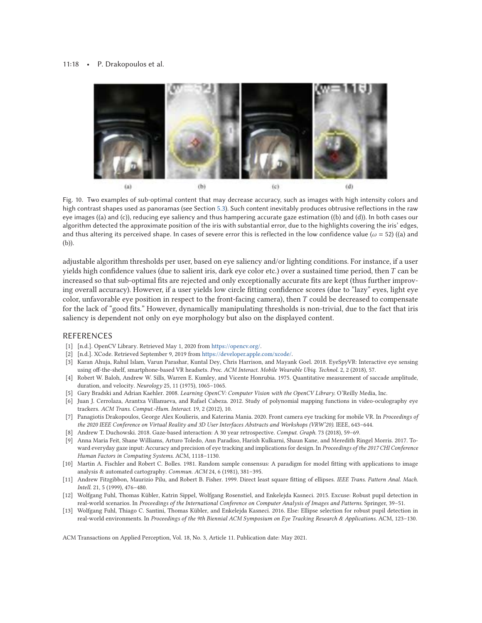<span id="page-17-0"></span>

Fig. 10. Two examples of sub-optimal content that may decrease accuracy, such as images with high intensity colors and high contrast shapes used as panoramas (see Section [5.3\)](#page-15-0). Such content inevitably produces obtrusive reflections in the raw eye images ((a) and (c)), reducing eye saliency and thus hampering accurate gaze estimation ((b) and (d)). In both cases our algorithm detected the approximate position of the iris with substantial error, due to the highlights covering the iris' edges, and thus altering its perceived shape. In cases of severe error this is reflected in the low confidence value ( $\omega$  = 52) ((a) and (b)).

adjustable algorithm thresholds per user, based on eye saliency and/or lighting conditions. For instance, if a user yields high confidence values (due to salient iris, dark eye color etc.) over a sustained time period, then *T* can be increased so that sub-optimal fits are rejected and only exceptionally accurate fits are kept (thus further improving overall accuracy). However, if a user yields low circle fitting confidence scores (due to "lazy" eyes, light eye color, unfavorable eye position in respect to the front-facing camera), then *T* could be decreased to compensate for the lack of "good fits." However, dynamically manipulating thresholds is non-trivial, due to the fact that iris saliency is dependent not only on eye morphology but also on the displayed content.

#### REFERENCES

- [1] [n.d.]. OpenCV Library. Retrieved May 1, 2020 from [https://opencv.org/.](https://opencv.org/)
- [2] [n.d.]. XCode. Retrieved September 9, 2019 from [https://developer.apple.com/xcode/.](https://developer.apple.com/xcode/)
- [3] Karan Ahuja, Rahul Islam, Varun Parashar, Kuntal Dey, Chris Harrison, and Mayank Goel. 2018. EyeSpyVR: Interactive eye sensing using off-the-shelf, smartphone-based VR headsets. *Proc. ACM Interact. Mobile Wearable Ubiq. Technol.* 2, 2 (2018), 57.
- [4] Robert W. Baloh, Andrew W. Sills, Warren E. Kumley, and Vicente Honrubia. 1975. Quantitative measurement of saccade amplitude, duration, and velocity. *Neurology* 25, 11 (1975), 1065–1065.
- [5] Gary Bradski and Adrian Kaehler. 2008. *Learning OpenCV: Computer Vision with the OpenCV Library*. O'Reilly Media, Inc.
- [6] Juan J. Cerrolaza, Arantxa Villanueva, and Rafael Cabeza. 2012. Study of polynomial mapping functions in video-oculography eye trackers. *ACM Trans. Comput.-Hum. Interact.* 19, 2 (2012), 10.
- [7] Panagiotis Drakopoulos, George Alex Koulieris, and Katerina Mania. 2020. Front camera eye tracking for mobile VR. In *Proceedings of the 2020 IEEE Conference on Virtual Reality and 3D User Interfaces Abstracts and Workshops (VRW'20)*. IEEE, 643–644.
- [8] Andrew T. Duchowski. 2018. Gaze-based interaction: A 30 year retrospective. *Comput. Graph.* 73 (2018), 59–69.
- [9] Anna Maria Feit, Shane Williams, Arturo Toledo, Ann Paradiso, Harish Kulkarni, Shaun Kane, and Meredith Ringel Morris. 2017. Toward everyday gaze input: Accuracy and precision of eye tracking and implications for design. In *Proceedings of the 2017 CHI Conference Human Factors in Computing Systems*. ACM, 1118–1130.
- [10] Martin A. Fischler and Robert C. Bolles. 1981. Random sample consensus: A paradigm for model fitting with applications to image analysis & automated cartography. *Commun. ACM* 24, 6 (1981), 381–395.
- [11] Andrew Fitzgibbon, Maurizio Pilu, and Robert B. Fisher. 1999. Direct least square fitting of ellipses. *IEEE Trans. Pattern Anal. Mach. Intell.* 21, 5 (1999), 476–480.
- [12] Wolfgang Fuhl, Thomas Kübler, Katrin Sippel, Wolfgang Rosenstiel, and Enkelejda Kasneci. 2015. Excuse: Robust pupil detection in real-world scenarios. In *Proceedings of the International Conference on Computer Analysis of Images and Patterns*. Springer, 39–51.
- [13] Wolfgang Fuhl, Thiago C. Santini, Thomas Kübler, and Enkelejda Kasneci. 2016. Else: Ellipse selection for robust pupil detection in real-world environments. In *Proceedings of the 9th Biennial ACM Symposium on Eye Tracking Research & Applications*. ACM, 123–130.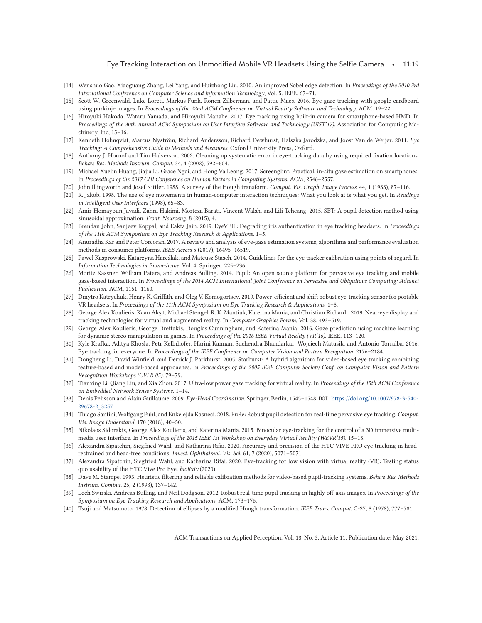#### Eye Tracking Interaction on Unmodified Mobile VR Headsets Using the Selfie Camera • 11:19

- <span id="page-18-0"></span>[14] Wenshuo Gao, Xiaoguang Zhang, Lei Yang, and Huizhong Liu. 2010. An improved Sobel edge detection. In *Proceedings of the 2010 3rd International Conference on Computer Science and Information Technology*, Vol. 5. IEEE, 67–71.
- [15] Scott W. Greenwald, Luke Loreti, Markus Funk, Ronen Zilberman, and Pattie Maes. 2016. Eye gaze tracking with google cardboard using purkinje images. In *Proceedings of the 22nd ACM Conference on Virtual Reality Software and Technology*. ACM, 19–22.
- [16] Hiroyuki Hakoda, Wataru Yamada, and Hiroyuki Manabe. 2017. Eye tracking using built-in camera for smartphone-based HMD. In *Proceedings of the 30th Annual ACM Symposium on User Interface Software and Technology (UIST'17)*. Association for Computing Machinery, Inc, 15–16.
- [17] Kenneth Holmqvist, Marcus Nyström, Richard Andersson, Richard Dewhurst, Halszka Jarodzka, and Joost Van de Weijer. 2011. *Eye Tracking: A Comprehensive Guide to Methods and Measures*. Oxford University Press, Oxford.
- [18] Anthony J. Hornof and Tim Halverson. 2002. Cleaning up systematic error in eye-tracking data by using required fixation locations. *Behav. Res. Methods Instrum. Comput.* 34, 4 (2002), 592–604.
- [19] Michael Xuelin Huang, Jiajia Li, Grace Ngai, and Hong Va Leong. 2017. Screenglint: Practical, in-situ gaze estimation on smartphones. In *Proceedings of the 2017 CHI Conference on Human Factors in Computing Systems*. ACM, 2546–2557.
- [20] John Illingworth and Josef Kittler. 1988. A survey of the Hough transform. *Comput. Vis. Graph. Image Process.* 44, 1 (1988), 87–116.
- [21] R. Jakob. 1998. The use of eye movements in human-computer interaction techniques: What you look at is what you get. In *Readings in Intelligent User Interfaces* (1998), 65–83.
- [22] Amir-Homayoun Javadi, Zahra Hakimi, Morteza Barati, Vincent Walsh, and Lili Tcheang. 2015. SET: A pupil detection method using sinusoidal approximation. *Front. Neuroeng.* 8 (2015), 4.
- [23] Brendan John, Sanjeev Koppal, and Eakta Jain. 2019. EyeVEIL: Degrading iris authentication in eye tracking headsets. In *Proceedings of the 11th ACM Symposium on Eye Tracking Research & Applications*. 1–5.
- [24] Anuradha Kar and Peter Corcoran. 2017. A review and analysis of eye-gaze estimation systems, algorithms and performance evaluation methods in consumer platforms. *IEEE Access* 5 (2017), 16495–16519.
- [25] Pawel Kasprowski, Katarzyna Hareżlak, and Mateusz Stasch. 2014. Guidelines for the eye tracker calibration using points of regard. In *Information Technologies in Biomedicine*, Vol. 4. Springer, 225–236.
- [26] Moritz Kassner, William Patera, and Andreas Bulling. 2014. Pupil: An open source platform for pervasive eye tracking and mobile gaze-based interaction. In *Proceedings of the 2014 ACM International Joint Conference on Pervasive and Ubiquitous Computing: Adjunct Publication*. ACM, 1151–1160.
- [27] Dmytro Katrychuk, Henry K. Griffith, and Oleg V. Komogortsev. 2019. Power-efficient and shift-robust eye-tracking sensor for portable VR headsets. In *Proceedings of the 11th ACM Symposium on Eye Tracking Research & Applications*. 1–8.
- [28] George Alex Koulieris, Kaan Akşit, Michael Stengel, R. K. Mantiuk, Katerina Mania, and Christian Richardt. 2019. Near-eye display and tracking technologies for virtual and augmented reality. In *Computer Graphics Forum*, Vol. 38. 493–519.
- [29] George Alex Koulieris, George Drettakis, Douglas Cunningham, and Katerina Mania. 2016. Gaze prediction using machine learning for dynamic stereo manipulation in games. In *Proceedings of the 2016 IEEE Virtual Reality (VR'16)*. IEEE, 113–120.
- [30] Kyle Krafka, Aditya Khosla, Petr Kellnhofer, Harini Kannan, Suchendra Bhandarkar, Wojciech Matusik, and Antonio Torralba. 2016. Eye tracking for everyone. In *Proceedings of the IEEE Conference on Computer Vision and Pattern Recognition*. 2176–2184.
- [31] Dongheng Li, David Winfield, and Derrick J. Parkhurst. 2005. Starburst: A hybrid algorithm for video-based eye tracking combining feature-based and model-based approaches. In *Proceedings of the 2005 IEEE Computer Society Conf. on Computer Vision and Pattern Recognition Workshops (CVPR'05)*. 79–79.
- [32] Tianxing Li, Qiang Liu, and Xia Zhou. 2017. Ultra-low power gaze tracking for virtual reality. In *Proceedings of the 15th ACM Conference on Embedded Network Sensor Systems*. 1–14.
- [33] Denis Pelisson and Alain Guillaume. 2009. *Eye-Head Coordination*. Springer, Berlin, 1545–1548. DOI:[https://doi.org/10.1007/978-3-540-](https://doi.org/10.1007/978-3-540-29678-2_3257) [29678-2\\_3257](https://doi.org/10.1007/978-3-540-29678-2_3257)
- [34] Thiago Santini, Wolfgang Fuhl, and Enkelejda Kasneci. 2018. PuRe: Robust pupil detection for real-time pervasive eye tracking. *Comput. Vis. Image Understand.* 170 (2018), 40–50.
- [35] Nikolaos Sidorakis, George Alex Koulieris, and Katerina Mania. 2015. Binocular eye-tracking for the control of a 3D immersive multimedia user interface. In *Proceedings of the 2015 IEEE 1st Workshop on Everyday Virtual Reality (WEVR'15)*. 15–18.
- [36] Alexandra Sipatchin, Siegfried Wahl, and Katharina Rifai. 2020. Accuracy and precision of the HTC VIVE PRO eye tracking in headrestrained and head-free conditions. *Invest. Ophthalmol. Vis. Sci.* 61, 7 (2020), 5071–5071.
- [37] Alexandra Sipatchin, Siegfried Wahl, and Katharina Rifai. 2020. Eye-tracking for low vision with virtual reality (VR): Testing status quo usability of the HTC Vive Pro Eye. *bioRxiv* (2020).
- [38] Dave M. Stampe. 1993. Heuristic filtering and reliable calibration methods for video-based pupil-tracking systems. *Behav. Res. Methods Instrum. Comput.* 25, 2 (1993), 137–142.
- [39] Lech Świrski, Andreas Bulling, and Neil Dodgson. 2012. Robust real-time pupil tracking in highly off-axis images. In *Proceedings of the Symposium on Eye Tracking Research and Applications*. ACM, 173–176.
- [40] Tsuji and Matsumoto. 1978. Detection of ellipses by a modified Hough transformation. *IEEE Trans. Comput.* C-27, 8 (1978), 777–781.